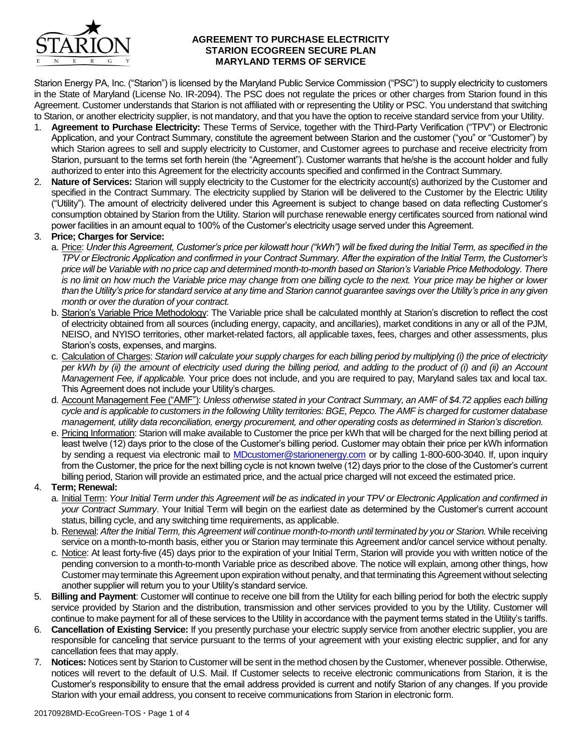

### **AGREEMENT TO PURCHASE ELECTRICITY STARION ECOGREEN SECURE PLAN MARYLAND TERMS OF SERVICE**

Starion Energy PA, Inc. ("Starion") is licensed by the Maryland Public Service Commission ("PSC") to supply electricity to customers in the State of Maryland (License No. IR-2094). The PSC does not regulate the prices or other charges from Starion found in this Agreement. Customer understands that Starion is not affiliated with or representing the Utility or PSC. You understand that switching to Starion, or another electricity supplier, is not mandatory, and that you have the option to receive standard service from your Utility.

- 1. **Agreement to Purchase Electricity:** These Terms of Service, together with the Third-Party Verification ("TPV") or Electronic Application, and your Contract Summary, constitute the agreement between Starion and the customer ("you" or "Customer") by which Starion agrees to sell and supply electricity to Customer, and Customer agrees to purchase and receive electricity from Starion, pursuant to the terms set forth herein (the "Agreement"). Customer warrants that he/she is the account holder and fully authorized to enter into this Agreement for the electricity accounts specified and confirmed in the Contract Summary.
- 2. **Nature of Services:** Starion will supply electricity to the Customer for the electricity account(s) authorized by the Customer and specified in the Contract Summary. The electricity supplied by Starion will be delivered to the Customer by the Electric Utility ("Utility"). The amount of electricity delivered under this Agreement is subject to change based on data reflecting Customer's consumption obtained by Starion from the Utility. Starion will purchase renewable energy certificates sourced from national wind power facilities in an amount equal to 100% of the Customer's electricity usage served under this Agreement.

# 3. **Price; Charges for Service:**

- a. Price: *Under this Agreement, Customer's price per kilowatt hour ("kWh") will be fixed during the Initial Term, as specified in the TPV or Electronic Application and confirmed in your Contract Summary. After the expiration of the Initial Term, the Customer's price will be Variable with no price cap and determined month-to-month based on Starion's Variable Price Methodology. There*  is no limit on how much the Variable price may change from one billing cycle to the next. Your price may be higher or lower *than the Utility's price for standard service at any time and Starion cannot guarantee savings over the Utility's price in any given month or over the duration of your contract.*
- b. Starion's Variable Price Methodology: The Variable price shall be calculated monthly at Starion's discretion to reflect the cost of electricity obtained from all sources (including energy, capacity, and ancillaries), market conditions in any or all of the PJM, NEISO, and NYISO territories, other market-related factors, all applicable taxes, fees, charges and other assessments, plus Starion's costs, expenses, and margins.
- c. Calculation of Charges: *Starion will calculate your supply charges for each billing period by multiplying (i) the price of electricity per kWh by (ii) the amount of electricity used during the billing period, and adding to the product of (i) and (ii) an Account Management Fee, if applicable.* Your price does not include, and you are required to pay, Maryland sales tax and local tax. This Agreement does not include your Utility's charges.
- d. Account Management Fee ("AMF"): *Unless otherwise stated in your Contract Summary, an AMF of \$4.72 applies each billing cycle and is applicable to customers in the following Utility territories: BGE, Pepco. The AMF is charged for customer database management, utility data reconciliation, energy procurement, and other operating costs as determined in Starion's discretion.*
- e. Pricing Information: Starion will make available to Customer the price per kWh that will be charged for the next billing period at least twelve (12) days prior to the close of the Customer's billing period. Customer may obtain their price per kWh information by sending a request via electronic mail to [MDcustomer@starionenergy.com](mailto:MDcustomer@starionenergy.com) or by calling 1-800-600-3040. If, upon inquiry from the Customer, the price for the next billing cycle is not known twelve (12) days prior to the close of the Customer's current billing period, Starion will provide an estimated price, and the actual price charged will not exceed the estimated price.

# 4. **Term; Renewal:**

- a. Initial Term: *Your Initial Term under this Agreement will be as indicated in your TPV or Electronic Application and confirmed in your Contract Summary*. Your Initial Term will begin on the earliest date as determined by the Customer's current account status, billing cycle, and any switching time requirements, as applicable.
- b. Renewal: After the Initial Term, this Agreement will continue month-to-month until terminated by you or Starion. While receiving service on a month-to-month basis, either you or Starion may terminate this Agreement and/or cancel service without penalty.
- c. Notice: At least forty-five (45) days prior to the expiration of your Initial Term, Starion will provide you with written notice of the pending conversion to a month-to-month Variable price as described above. The notice will explain, among other things, how Customer may terminate this Agreement upon expiration without penalty, and that terminating this Agreement without selecting another supplier will return you to your Utility's standard service.
- 5. **Billing and Payment**: Customer will continue to receive one bill from the Utility for each billing period for both the electric supply service provided by Starion and the distribution, transmission and other services provided to you by the Utility. Customer will continue to make payment for all of these services to the Utility in accordance with the payment terms stated in the Utility's tariffs.
- 6. **Cancellation of Existing Service:** If you presently purchase your electric supply service from another electric supplier, you are responsible for canceling that service pursuant to the terms of your agreement with your existing electric supplier, and for any cancellation fees that may apply.
- 7. **Notices:** Notices sent by Starion to Customer will be sent in the method chosen by the Customer, whenever possible. Otherwise, notices will revert to the default of U.S. Mail. If Customer selects to receive electronic communications from Starion, it is the Customer's responsibility to ensure that the email address provided is current and notify Starion of any changes. If you provide Starion with your email address, you consent to receive communications from Starion in electronic form.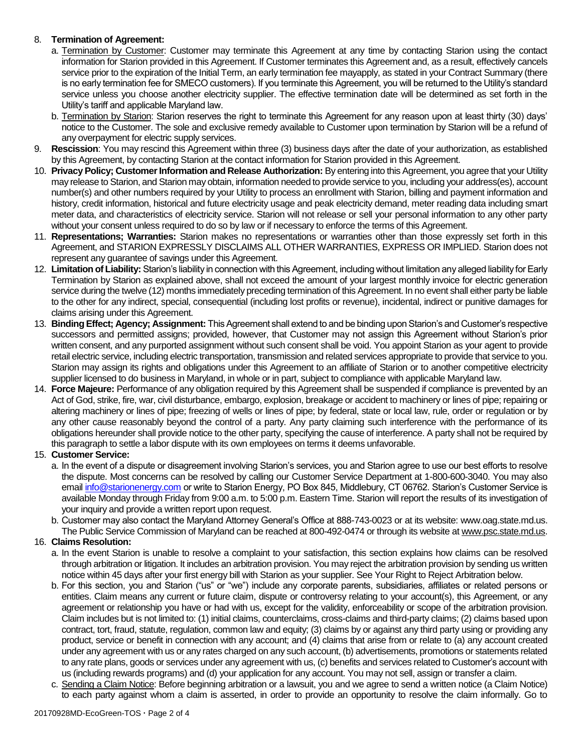# 8. **Termination of Agreement:**

- a. Termination by Customer: Customer may terminate this Agreement at any time by contacting Starion using the contact information for Starion provided in this Agreement. If Customer terminates this Agreement and, as a result, effectively cancels service prior to the expiration of the Initial Term, an early termination fee mayapply, as stated in your Contract Summary (there is no early termination fee for SMECO customers). If you terminate this Agreement, you will be returned to the Utility's standard service unless you choose another electricity supplier. The effective termination date will be determined as set forth in the Utility's tariff and applicable Maryland law.
- b. Termination by Starion: Starion reserves the right to terminate this Agreement for any reason upon at least thirty (30) days' notice to the Customer. The sole and exclusive remedy available to Customer upon termination by Starion will be a refund of any overpayment for electric supply services.
- 9. **Rescission**: You may rescind this Agreement within three (3) business days after the date of your authorization, as established by this Agreement, by contacting Starion at the contact information for Starion provided in this Agreement.
- 10. **Privacy Policy; Customer Information and Release Authorization:** By entering into this Agreement, you agree that your Utility may release to Starion, and Starion may obtain, information needed to provide service to you, including your address(es), account number(s) and other numbers required by your Utility to process an enrollment with Starion, billing and payment information and history, credit information, historical and future electricity usage and peak electricity demand, meter reading data including smart meter data, and characteristics of electricity service. Starion will not release or sell your personal information to any other party without your consent unless required to do so by law or if necessary to enforce the terms of this Agreement.
- 11. **Representations; Warranties:** Starion makes no representations or warranties other than those expressly set forth in this Agreement, and STARION EXPRESSLY DISCLAIMS ALL OTHER WARRANTIES, EXPRESS OR IMPLIED. Starion does not represent any guarantee of savings under this Agreement.
- 12. **Limitation of Liability:** Starion's liability in connection with this Agreement, including without limitation any alleged liability for Early Termination by Starion as explained above, shall not exceed the amount of your largest monthly invoice for electric generation service during the twelve (12) months immediately preceding termination of this Agreement. In no event shall either party be liable to the other for any indirect, special, consequential (including lost profits or revenue), incidental, indirect or punitive damages for claims arising under this Agreement.
- 13. **Binding Effect; Agency; Assignment:** This Agreement shall extend to and be binding upon Starion's and Customer's respective successors and permitted assigns; provided, however, that Customer may not assign this Agreement without Starion's prior written consent, and any purported assignment without such consent shall be void. You appoint Starion as your agent to provide retail electric service, including electric transportation, transmission and related services appropriate to provide that service to you. Starion may assign its rights and obligations under this Agreement to an affiliate of Starion or to another competitive electricity supplier licensed to do business in Maryland, in whole or in part, subject to compliance with applicable Maryland law.
- 14. **Force Majeure:** Performance of any obligation required by this Agreement shall be suspended if compliance is prevented by an Act of God, strike, fire, war, civil disturbance, embargo, explosion, breakage or accident to machinery or lines of pipe; repairing or altering machinery or lines of pipe; freezing of wells or lines of pipe; by federal, state or local law, rule, order or regulation or by any other cause reasonably beyond the control of a party. Any party claiming such interference with the performance of its obligations hereunder shall provide notice to the other party, specifying the cause of interference. A party shall not be required by this paragraph to settle a labor dispute with its own employees on terms it deems unfavorable.

# 15. **Customer Service:**

- a. In the event of a dispute or disagreement involving Starion's services, you and Starion agree to use our best efforts to resolve the dispute. Most concerns can be resolved by calling our Customer Service Department at 1-800-600-3040. You may also emai[l info@starionenergy.com](mailto:info@starionenergy.com) or write to Starion Energy, PO Box 845, Middlebury, CT 06762. Starion's Customer Service is available Monday through Friday from 9:00 a.m. to 5:00 p.m. Eastern Time. Starion will report the results of its investigation of your inquiry and provide a written report upon request.
- b. Customer may also contact the Maryland Attorney General's Office at 888-743-0023 or at its website: www.oag.state.md.us. The Public Service Commission of Maryland can be reached at 800-492-0474 or through its website at www.psc.state.md.us.

# 16. **Claims Resolution:**

- a. In the event Starion is unable to resolve a complaint to your satisfaction, this section explains how claims can be resolved through arbitration or litigation. It includes an arbitration provision. You may reject the arbitration provision by sending us written notice within 45 days after your first energy bill with Starion as your supplier. See Your Right to Reject Arbitration below.
- b. For this section, you and Starion ("us" or "we") include any corporate parents, subsidiaries, affiliates or related persons or entities. Claim means any current or future claim, dispute or controversy relating to your account(s), this Agreement, or any agreement or relationship you have or had with us, except for the validity, enforceability or scope of the arbitration provision. Claim includes but is not limited to: (1) initial claims, counterclaims, cross-claims and third-party claims; (2) claims based upon contract, tort, fraud, statute, regulation, common law and equity; (3) claims by or against any third party using or providing any product, service or benefit in connection with any account; and (4) claims that arise from or relate to (a) any account created under any agreement with us or any rates charged on any such account, (b) advertisements, promotions or statements related to any rate plans, goods or services under any agreement with us, (c) benefits and services related to Customer's account with us (including rewards programs) and (d) your application for any account. You may not sell, assign or transfer a claim.
- c. Sending a Claim Notice: Before beginning arbitration or a lawsuit, you and we agree to send a written notice (a Claim Notice) to each party against whom a claim is asserted, in order to provide an opportunity to resolve the claim informally. Go to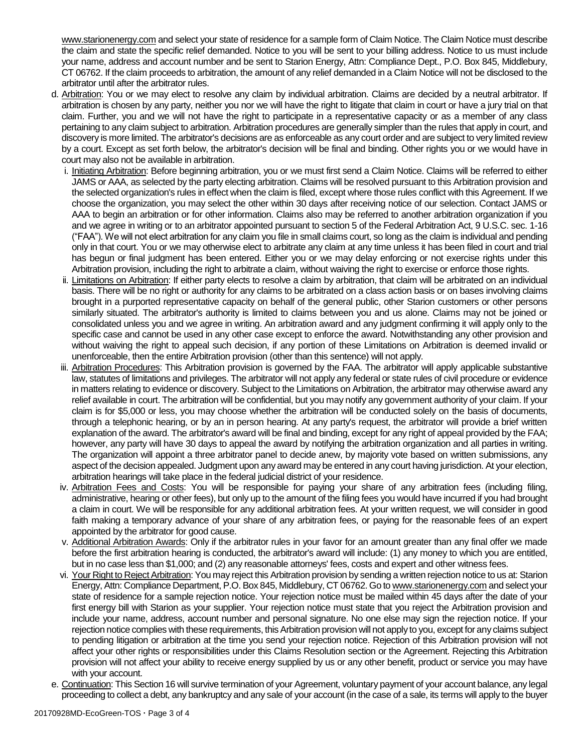www.starionenergy.com and select your state of residence for a sample form of Claim Notice. The Claim Notice must describe the claim and state the specific relief demanded. Notice to you will be sent to your billing address. Notice to us must include your name, address and account number and be sent to Starion Energy, Attn: Compliance Dept., P.O. Box 845, Middlebury, CT 06762. If the claim proceeds to arbitration, the amount of any relief demanded in a Claim Notice will not be disclosed to the arbitrator until after the arbitrator rules.

- d. Arbitration: You or we may elect to resolve any claim by individual arbitration. Claims are decided by a neutral arbitrator. If arbitration is chosen by any party, neither you nor we will have the right to litigate that claim in court or have a jury trial on that claim. Further, you and we will not have the right to participate in a representative capacity or as a member of any class pertaining to any claim subject to arbitration. Arbitration procedures are generally simpler than the rules that apply in court, and discovery is more limited. The arbitrator's decisions are as enforceable as any court order and are subject to very limited review by a court. Except as set forth below, the arbitrator's decision will be final and binding. Other rights you or we would have in court may also not be available in arbitration.
	- i. Initiating Arbitration: Before beginning arbitration, you or we must first send a Claim Notice. Claims will be referred to either JAMS or AAA, as selected by the party electing arbitration. Claims will be resolved pursuant to this Arbitration provision and the selected organization's rules in effect when the claim is filed, except where those rules conflict with this Agreement. If we choose the organization, you may select the other within 30 days after receiving notice of our selection. Contact JAMS or AAA to begin an arbitration or for other information. Claims also may be referred to another arbitration organization if you and we agree in writing or to an arbitrator appointed pursuant to section 5 of the Federal Arbitration Act, 9 U.S.C. sec. 1-16 ("FAA"). We will not elect arbitration for any claim you file in small claims court, so long as the claim is individual and pending only in that court. You or we may otherwise elect to arbitrate any claim at any time unless it has been filed in court and trial has begun or final judgment has been entered. Either you or we may delay enforcing or not exercise rights under this Arbitration provision, including the right to arbitrate a claim, without waiving the right to exercise or enforce those rights.
	- ii. Limitations on Arbitration: If either party elects to resolve a claim by arbitration, that claim will be arbitrated on an individual basis. There will be no right or authority for any claims to be arbitrated on a class action basis or on bases involving claims brought in a purported representative capacity on behalf of the general public, other Starion customers or other persons similarly situated. The arbitrator's authority is limited to claims between you and us alone. Claims may not be joined or consolidated unless you and we agree in writing. An arbitration award and any judgment confirming it will apply only to the specific case and cannot be used in any other case except to enforce the award. Notwithstanding any other provision and without waiving the right to appeal such decision, if any portion of these Limitations on Arbitration is deemed invalid or unenforceable, then the entire Arbitration provision (other than this sentence) will not apply.
	- iii. Arbitration Procedures: This Arbitration provision is governed by the FAA. The arbitrator will apply applicable substantive law, statutes of limitations and privileges. The arbitrator will not apply any federal or state rules of civil procedure or evidence in matters relating to evidence or discovery. Subject to the Limitations on Arbitration, the arbitrator may otherwise award any relief available in court. The arbitration will be confidential, but you may notify any government authority of your claim. If your claim is for \$5,000 or less, you may choose whether the arbitration will be conducted solely on the basis of documents, through a telephonic hearing, or by an in person hearing. At any party's request, the arbitrator will provide a brief written explanation of the award. The arbitrator's award will be final and binding, except for any right of appeal provided by the FAA; however, any party will have 30 days to appeal the award by notifying the arbitration organization and all parties in writing. The organization will appoint a three arbitrator panel to decide anew, by majority vote based on written submissions, any aspect of the decision appealed. Judgment upon any award may be entered in any court having jurisdiction. At your election, arbitration hearings will take place in the federal judicial district of your residence.
	- iv. Arbitration Fees and Costs: You will be responsible for paying your share of any arbitration fees (including filing, administrative, hearing or other fees), but only up to the amount of the filing fees you would have incurred if you had brought a claim in court. We will be responsible for any additional arbitration fees. At your written request, we will consider in good faith making a temporary advance of your share of any arbitration fees, or paying for the reasonable fees of an expert appointed by the arbitrator for good cause.
	- v. Additional Arbitration Awards: Only if the arbitrator rules in your favor for an amount greater than any final offer we made before the first arbitration hearing is conducted, the arbitrator's award will include: (1) any money to which you are entitled, but in no case less than \$1,000; and (2) any reasonable attorneys' fees, costs and expert and other witness fees.
	- vi. Your Right to Reject Arbitration: You may reject this Arbitration provision by sending a written rejection notice to us at: Starion Energy, Attn: Compliance Department, P.O. Box 845, Middlebury, CT 06762. Go to www.starionenergy.com and select your state of residence for a sample rejection notice. Your rejection notice must be mailed within 45 days after the date of your first energy bill with Starion as your supplier. Your rejection notice must state that you reject the Arbitration provision and include your name, address, account number and personal signature. No one else may sign the rejection notice. If your rejection notice complies with these requirements, this Arbitration provision will not apply to you, except for any claims subject to pending litigation or arbitration at the time you send your rejection notice. Rejection of this Arbitration provision will not affect your other rights or responsibilities under this Claims Resolution section or the Agreement. Rejecting this Arbitration provision will not affect your ability to receive energy supplied by us or any other benefit, product or service you may have with your account.
- e. Continuation: This Section 16 will survive termination of your Agreement, voluntary payment of your account balance, any legal proceeding to collect a debt, any bankruptcy and any sale of your account (in the case of a sale, its terms will apply to the buyer